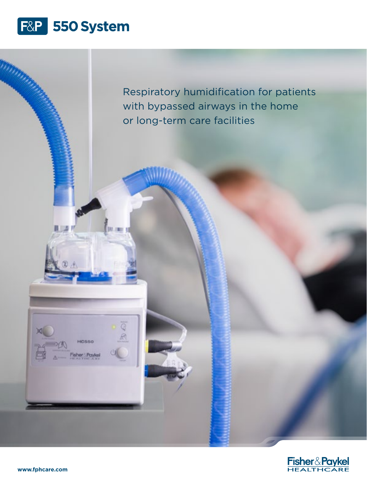

Respiratory humidification for patients with bypassed airways in the home or long-term care facilities



HC550

Techer & Payke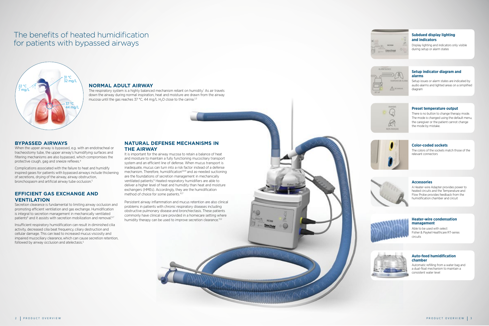## **Accessories**

A Heater-wire Adapter provides power to heated circuits and the Temperature and Flow Probe provides feedback from the humidification chamber and circuit



#### **Heater-wire condensation management**

Able to be used with select Fisher & Paykel Healthcare RT-series circuits



### **Auto-feed humidification chamber**

Automatic refilling from a water bag and a dual-float mechanism to maintain a consistent water level

#### **Setup indicator diagram and alarms**

Setup issues or alarm states are indicated by audio alarms and lighted areas on a simplified diagram



## **Subdued display lighting and indicators**

Complications associated with the failure to heat and humidify inspired gases for patients with bypassed airways include thickening of secretions, drying of the airway, airway obstruction, bronchospasm and artificial airway tube occlusion.<sup>5</sup>

Display lighting and indicators only visible during setup or alarm states



## **Preset temperature output**

Secretion clearance is fundamental to limiting airway occlusion and promoting efficient ventilation and gas exchange. Humidification is integral to secretion management in mechanically ventilated patients<sup>6</sup> and it assists with secretion mobilization and removal.<sup>6,7</sup>

There is no button to change therapy mode. The mode is changed using the default menu, the caregiver or the patient cannot change the mode by mistake.



Insufficient respiratory humidification can result in diminished cilia activity, decreased cilia beat frequency, ciliary destruction and cellular damage. This can lead to increased mucus viscosity and impaired mucociliary clearance,which can cause secretion retention, followed by airway occlusion and atelectasis.<sup>5</sup>

## **Color-coded sockets**

The colors of the sockets match those of the relevant connectors



# **BYPASSED AIRWAYS**

When the upper airway is bypassed, e.g. with an endotracheal or tracheostomy tube, the upper airway's humidifying surfaces and filtering mechanisms are also bypassed, which compromises the protective cough, gag and sneeze reflexes.4

> Persistent airway inflammation and mucus retention are also clinical problems in patients with chronic respiratory diseases including obstructive pulmonary disease and bronchiectasis. These patients commonly have clinical care provided in a homecare setting where humidity therapy can be used to improve secretion clearance.<sup>11,12</sup>

# **EFFICIENT GAS EXCHANGE AND VENTILATION**

# **NATURAL DEFENSE MECHANISMS IN THE AIRWAY**

It is important for the airway mucosa to retain a balance of heat and moisture to maintain a fully functioning mucociliary transport system and an efficient line of defense. When mucus transport is inadequate, mucus can turn into a risk factor instead of a defense mechanism. Therefore, humidification<sup>5,8,9</sup> and as-needed suctioning are the foundations of secretion management in mechanically ventilated patients.<sup>6</sup> Heated respiratory humidifiers are able to deliver a higher level of heat and humidity than heat and moisture exchangers (HMEs). Accordingly, they are the humidification method of choice for some patients.<sup>10,7</sup>

# The benefits of heated humidification for patients with bypassed airways





# **NORMAL ADULT AIRWAY**

The respiratory system is a highly balanced mechanism reliant on humidity.<sup>1</sup> As air travels down the airway during normal inspiration, heat and moisture are drawn from the airway mucosa until the gas reaches 37 °C, 44 mg/L H<sub>2</sub>O close to the carina.<sup>2,3</sup>